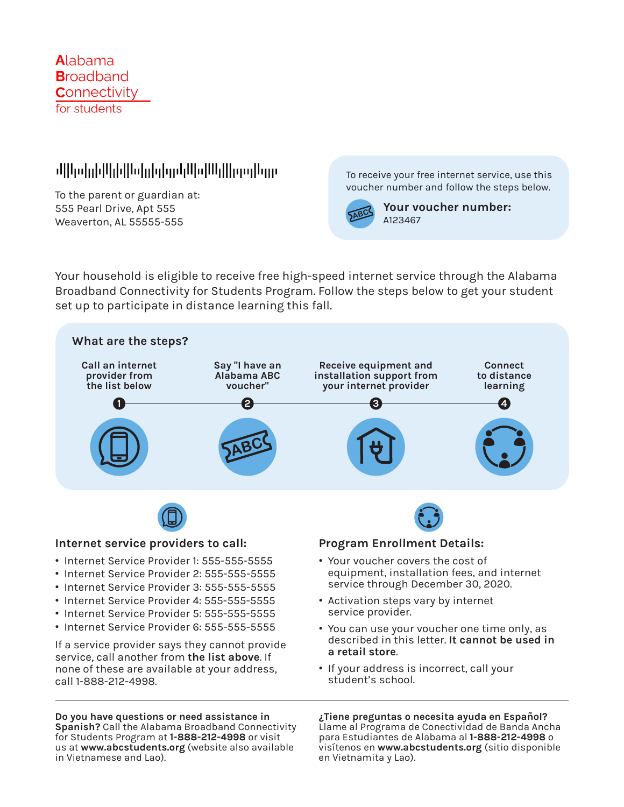

## <u>ժվկաննկնեկներից կանկներին կատվերը</u>

To the parent or guardian at: 555 Pearl Drive, Apt 555 Weaverton, AL 55555-555

To receive your free internet service, use this voucher number and follow the steps below.



**Your voucher number:** A123467

Your household is eligible to receive free high-speed internet service through the Alabama Broadband Connectivity for Students Program. Follow the steps below to get your student set up to participate in distance learning this fall.



**Do you have questions or need assistance in Spanish?** Call the Alabama Broadband Connectivity for Students Program at **1-888-212-4998** or visit us at **www.abcstudents.org** (website also available in Vietnamese and Lao).

 **Tiene preguntas o necesita ayuda en Español? ?**Llame al Programa de Conectividad de Banda Ancha para Estudiantes de Alabama al **1-888-212-4998** o visítenos en **www.abcstudents.org** (sitio disponible en Vietnamita y Lao).